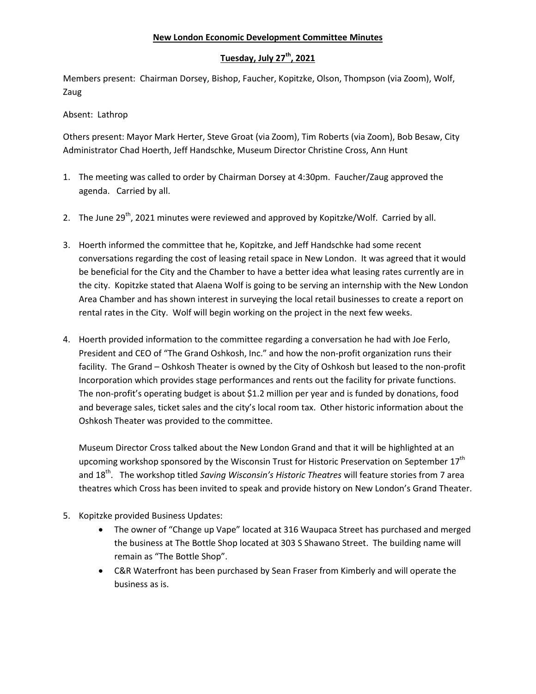## **New London Economic Development Committee Minutes**

## **Tuesday, July 27th , 2021**

Members present: Chairman Dorsey, Bishop, Faucher, Kopitzke, Olson, Thompson (via Zoom), Wolf, Zaug

Absent: Lathrop

Others present: Mayor Mark Herter, Steve Groat (via Zoom), Tim Roberts (via Zoom), Bob Besaw, City Administrator Chad Hoerth, Jeff Handschke, Museum Director Christine Cross, Ann Hunt

- 1. The meeting was called to order by Chairman Dorsey at 4:30pm. Faucher/Zaug approved the agenda. Carried by all.
- 2. The June 29<sup>th</sup>, 2021 minutes were reviewed and approved by Kopitzke/Wolf. Carried by all.
- 3. Hoerth informed the committee that he, Kopitzke, and Jeff Handschke had some recent conversations regarding the cost of leasing retail space in New London. It was agreed that it would be beneficial for the City and the Chamber to have a better idea what leasing rates currently are in the city. Kopitzke stated that Alaena Wolf is going to be serving an internship with the New London Area Chamber and has shown interest in surveying the local retail businesses to create a report on rental rates in the City. Wolf will begin working on the project in the next few weeks.
- 4. Hoerth provided information to the committee regarding a conversation he had with Joe Ferlo, President and CEO of "The Grand Oshkosh, Inc." and how the non-profit organization runs their facility. The Grand – Oshkosh Theater is owned by the City of Oshkosh but leased to the non-profit Incorporation which provides stage performances and rents out the facility for private functions. The non-profit's operating budget is about \$1.2 million per year and is funded by donations, food and beverage sales, ticket sales and the city's local room tax. Other historic information about the Oshkosh Theater was provided to the committee.

Museum Director Cross talked about the New London Grand and that it will be highlighted at an upcoming workshop sponsored by the Wisconsin Trust for Historic Preservation on September 17<sup>th</sup> and 18<sup>th</sup>. The workshop titled *Saving Wisconsin's Historic Theatres* will feature stories from 7 area theatres which Cross has been invited to speak and provide history on New London's Grand Theater.

- 5. Kopitzke provided Business Updates:
	- The owner of "Change up Vape" located at 316 Waupaca Street has purchased and merged the business at The Bottle Shop located at 303 S Shawano Street. The building name will remain as "The Bottle Shop".
	- C&R Waterfront has been purchased by Sean Fraser from Kimberly and will operate the business as is.